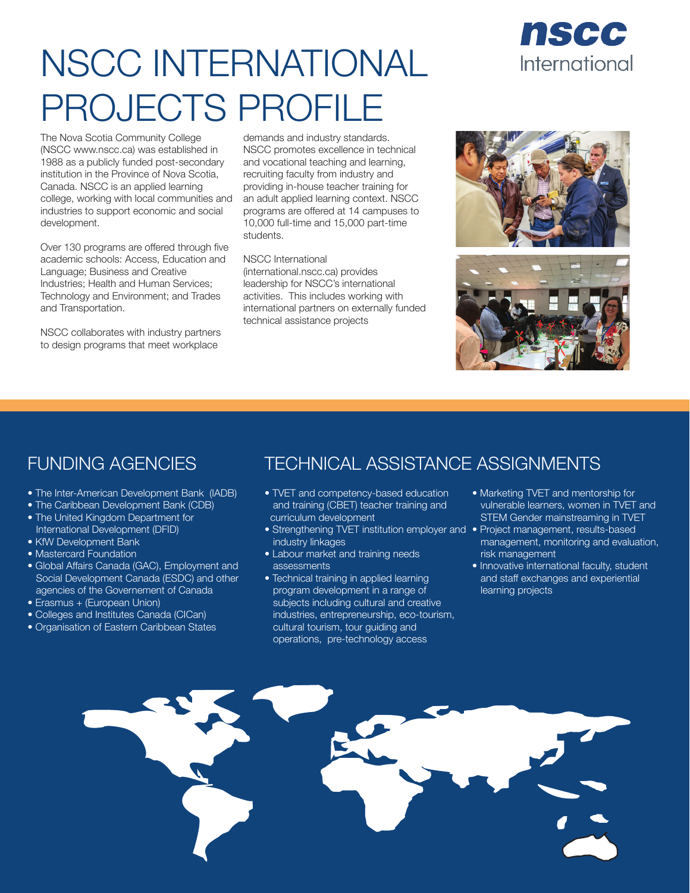# NSCC INTERNATIONAL PROJECTS PROFILE

The Nova Scotia Community College (NSCC www.nscc.ca) was established in 1988 as a publicly funded post-secondary institution in the Province of Nova Scotia, Canada. NSCC is an applied learning college, working with local communities and industries to support economic and social development.

Over 130 programs are offered through five academic schools: Access, Education and Language; Business and Creative Industries; Health and Human Services; Technology and Environment; and Trades and Transportation.

NSCC collaborates with industry partners to design programs that meet workplace

demands and industry standards. NSCC promotes excellence in technical and vocational teaching and learning, recruiting faculty from industry and providing in-house teacher training for an adult applied learning context. NSCC programs are offered at 14 campuses to 10,000 full-time and 15,000 part-time students.

#### NSCC International

(international.nscc.ca) provides leadership for NSCC's international activities. This includes working with international partners on externally funded technical assistance projects



nscc

International



- The Inter-American Development Bank (IADB)
- The Caribbean Development Bank (CDB)
- The United Kingdom Department for International Development (DFID)
- KfW Development Bank
- Mastercard Foundation
- Global Affairs Canada (GAC), Employment and Social Development Canada (ESDC) and other agencies of the Governement of Canada
- Erasmus + (European Union)
- Colleges and Institutes Canada (CICan)
- Organisation of Eastern Caribbean States

### FUNDING AGENCIES TECHNICAL ASSISTANCE ASSIGNMENTS

- TVET and competency-based education and training (CBET) teacher training and curriculum development
- Strengthening TVET institution employer and Project management, results-based industry linkages
- Labour market and training needs assessments
- Technical training in applied learning program development in a range of subjects including cultural and creative industries, entrepreneurship, eco-tourism, cultural tourism, tour guiding and operations, pre-technology access
- Marketing TVET and mentorship for vulnerable learners, women in TVET and STEM Gender mainstreaming in TVET
- management, monitoring and evaluation, risk management
- Innovative international faculty, student and staff exchanges and experiential learning projects

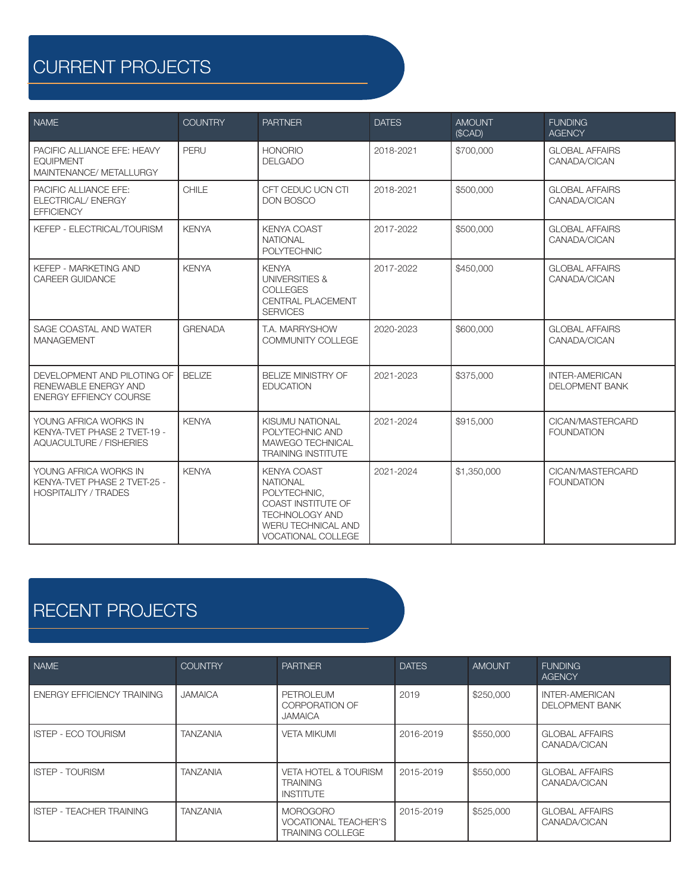# CURRENT PROJECTS

| <b>NAME</b>                                                                             | <b>COUNTRY</b> | <b>PARTNER</b>                                                                                                                                   | <b>DATES</b> | <b>AMOUNT</b><br>(SCAD) | <b>FUNDING</b><br><b>AGENCY</b>                |
|-----------------------------------------------------------------------------------------|----------------|--------------------------------------------------------------------------------------------------------------------------------------------------|--------------|-------------------------|------------------------------------------------|
| PACIFIC ALLIANCE EFE: HEAVY<br><b>EQUIPMENT</b><br>MAINTENANCE/ METALLURGY              | PERU           | <b>HONORIO</b><br><b>DELGADO</b>                                                                                                                 | 2018-2021    | \$700,000               | <b>GLOBAL AFFAIRS</b><br>CANADA/CICAN          |
| PACIFIC ALLIANCE EFE:<br>ELECTRICAL/ ENERGY<br><b>EFFICIENCY</b>                        | CHILE          | CFT CEDUC UCN CTI<br><b>DON BOSCO</b>                                                                                                            | 2018-2021    | \$500,000               | <b>GLOBAL AFFAIRS</b><br>CANADA/CICAN          |
| KEFEP - ELECTRICAL/TOURISM                                                              | <b>KENYA</b>   | <b>KENYA COAST</b><br><b>NATIONAL</b><br><b>POLYTECHNIC</b>                                                                                      | 2017-2022    | \$500,000               | <b>GLOBAL AFFAIRS</b><br>CANADA/CICAN          |
| KEFEP - MARKETING AND<br><b>CAREER GUIDANCE</b>                                         | <b>KENYA</b>   | <b>KENYA</b><br><b>UNIVERSITIES &amp;</b><br><b>COLLEGES</b><br><b>CENTRAL PLACEMENT</b><br><b>SERVICES</b>                                      | 2017-2022    | \$450,000               | <b>GLOBAL AFFAIRS</b><br>CANADA/CICAN          |
| SAGE COASTAL AND WATER<br><b>MANAGEMENT</b>                                             | <b>GRENADA</b> | T.A. MARRYSHOW<br><b>COMMUNITY COLLEGE</b>                                                                                                       | 2020-2023    | \$600,000               | <b>GLOBAL AFFAIRS</b><br>CANADA/CICAN          |
| DEVELOPMENT AND PILOTING OF<br>RENEWABLE ENERGY AND<br><b>ENERGY EFFIENCY COURSE</b>    | <b>BELIZE</b>  | <b>BELIZE MINISTRY OF</b><br><b>EDUCATION</b>                                                                                                    | 2021-2023    | \$375,000               | <b>INTER-AMERICAN</b><br><b>DELOPMENT BANK</b> |
| YOUNG AFRICA WORKS IN<br>KENYA-TVET PHASE 2 TVET-19 -<br><b>AQUACULTURE / FISHERIES</b> | <b>KENYA</b>   | KISUMU NATIONAL<br>POLYTECHNIC AND<br>MAWEGO TECHNICAL<br><b>TRAINING INSTITUTE</b>                                                              | 2021-2024    | \$915,000               | CICAN/MASTERCARD<br><b>FOUNDATION</b>          |
| YOUNG AFRICA WORKS IN<br>KENYA-TVET PHASE 2 TVET-25 -<br><b>HOSPITALITY / TRADES</b>    | <b>KENYA</b>   | <b>KENYA COAST</b><br><b>NATIONAL</b><br>POLYTECHNIC.<br>COAST INSTITUTE OF<br><b>TECHNOLOGY AND</b><br>WERU TECHNICAL AND<br>VOCATIONAL COLLEGE | 2021-2024    | \$1,350,000             | CICAN/MASTERCARD<br><b>FOUNDATION</b>          |

## RECENT PROJECTS

| NAME                              | <b>COUNTRY</b>  | <b>PARTNER</b>                                                            | <b>DATES</b> | <b>AMOUNT</b> | <b>FUNDING</b><br><b>AGENCY</b>                |
|-----------------------------------|-----------------|---------------------------------------------------------------------------|--------------|---------------|------------------------------------------------|
| <b>ENERGY EFFICIENCY TRAINING</b> | <b>JAMAICA</b>  | PETROLEUM<br><b>CORPORATION OF</b><br><b>JAMAICA</b>                      | 2019         | \$250,000     | <b>INTER-AMERICAN</b><br><b>DELOPMENT BANK</b> |
| <b>ISTEP - ECO TOURISM</b>        | <b>TANZANIA</b> | <b>VETA MIKUMI</b>                                                        | 2016-2019    | \$550,000     | <b>GLOBAL AFFAIRS</b><br>CANADA/CICAN          |
| <b>ISTEP - TOURISM</b>            | <b>TANZANIA</b> | <b>VETA HOTEL &amp; TOURISM</b><br><b>TRAINING</b><br><b>INSTITUTE</b>    | 2015-2019    | \$550,000     | <b>GLOBAL AFFAIRS</b><br>CANADA/CICAN          |
| <b>ISTEP - TEACHER TRAINING</b>   | <b>TANZANIA</b> | <b>MOROGORO</b><br><b>VOCATIONAL TEACHER'S</b><br><b>TRAINING COLLEGE</b> | 2015-2019    | \$525,000     | <b>GLOBAL AFFAIRS</b><br>CANADA/CICAN          |